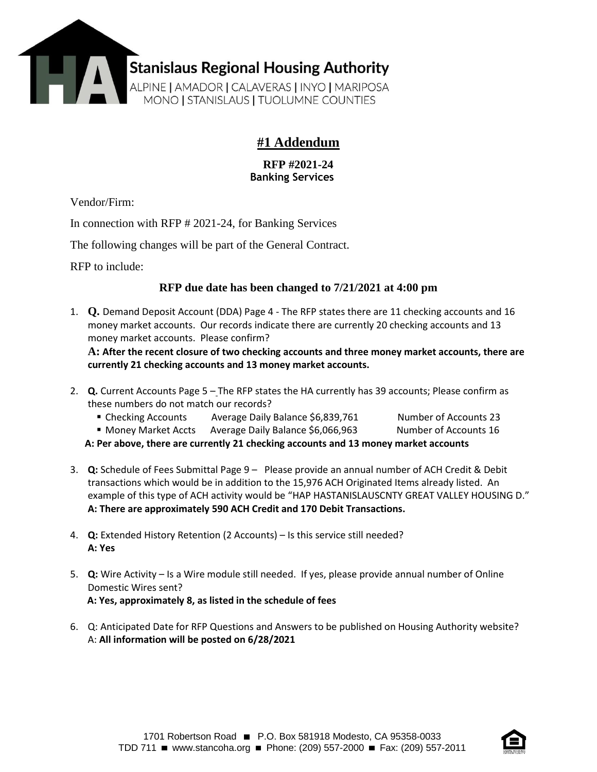

## **#1 Addendum**

## **RFP #2021-24 Banking Services**

Vendor/Firm:

In connection with RFP # 2021-24, for Banking Services

The following changes will be part of the General Contract.

RFP to include:

## **RFP due date has been changed to 7/21/2021 at 4:00 pm**

1. **Q.** Demand Deposit Account (DDA) Page 4 - The RFP states there are 11 checking accounts and 16 money market accounts. Our records indicate there are currently 20 checking accounts and 13 money market accounts. Please confirm?

**A: After the recent closure of two checking accounts and three money market accounts, there are currently 21 checking accounts and 13 money market accounts.** 

- 2. **Q.** Current Accounts Page 5 The RFP states the HA currently has 39 accounts; Please confirm as these numbers do not match our records?
	- Checking Accounts Average Daily Balance \$6,839,761 Number of Accounts 23
	- Money Market Accts Average Daily Balance \$6,066,963 Number of Accounts 16

 **A: Per above, there are currently 21 checking accounts and 13 money market accounts**

- 3. **Q:** Schedule of Fees Submittal Page 9 –Please provide an annual number of ACH Credit & Debit transactions which would be in addition to the 15,976 ACH Originated Items already listed. An example of this type of ACH activity would be "HAP HASTANISLAUSCNTY GREAT VALLEY HOUSING D." **A: There are approximately 590 ACH Credit and 170 Debit Transactions.**
- 4. **Q:** Extended History Retention (2 Accounts) Is this service still needed? **A: Yes**
- 5. **Q:** Wire Activity Is a Wire module still needed. If yes, please provide annual number of Online Domestic Wires sent?  **A: Yes, approximately 8, as listed in the schedule of fees**
- 6. Q: Anticipated Date for RFP Questions and Answers to be published on Housing Authority website? A: **All information will be posted on 6/28/2021**